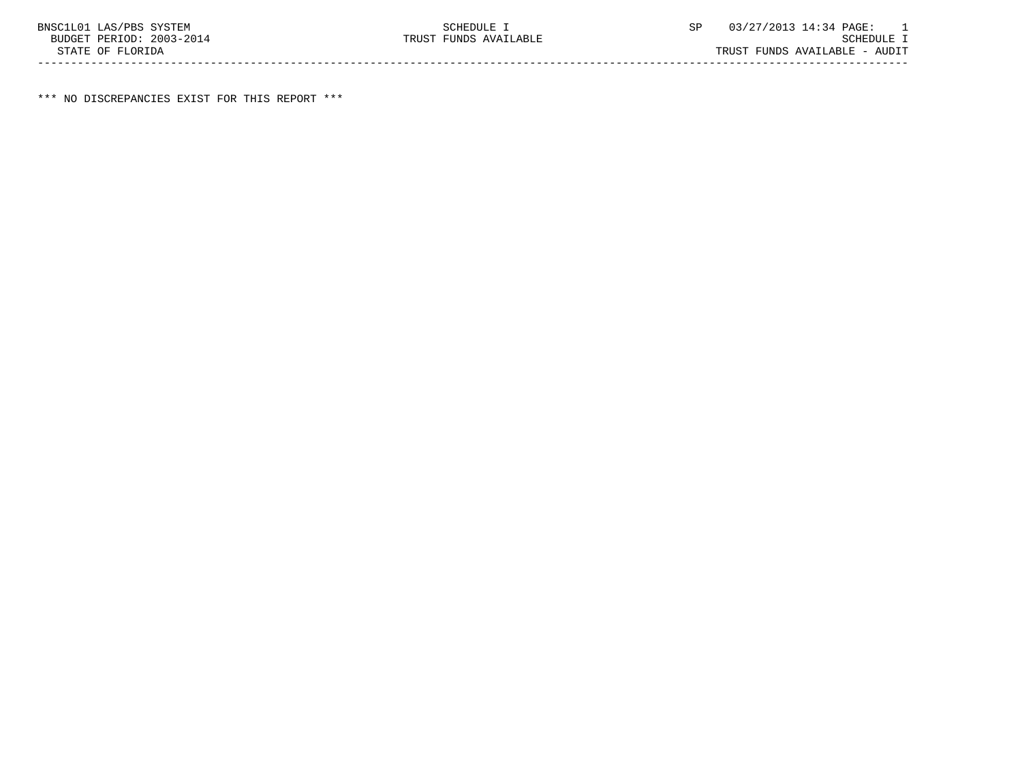\*\*\* NO DISCREPANCIES EXIST FOR THIS REPORT \*\*\*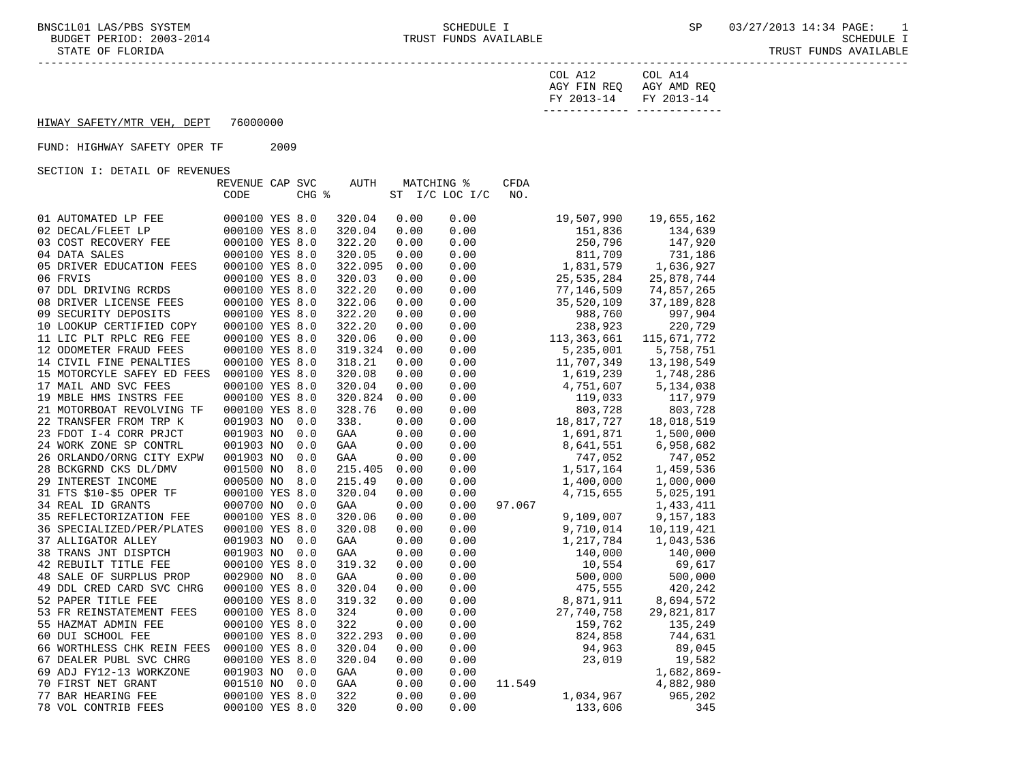STATE OF FLORIDA TRUST FUNDS AVAILABLE

-----------------------------------------------------------------------------------------------------------------------------------

| FY 2013-14 FY 2013-14 |                         |
|-----------------------|-------------------------|
|                       | AGY FIN REQ AGY AMD REQ |
| COL A12               | COL A14                 |

## HIWAY SAFETY/MTR VEH, DEPT 76000000

FUND: HIGHWAY SAFETY OPER TF 2009

SECTION I: DETAIL OF REVENUES

|                            | REVENUE CAP SVC |             | <b>AUTH</b>     | MATCHING %      | <b>CFDA</b> |               |              |
|----------------------------|-----------------|-------------|-----------------|-----------------|-------------|---------------|--------------|
|                            | CODE            | CHG %       | ST              | $I/C$ LOC $I/C$ | NO.         |               |              |
|                            |                 |             |                 |                 |             |               |              |
| 01 AUTOMATED LP FEE        | 000100 YES 8.0  |             | 320.04<br>0.00  | 0.00            |             | 19,507,990    | 19,655,162   |
| 02 DECAL/FLEET LP          | 000100 YES 8.0  |             | 320.04<br>0.00  | 0.00            |             | 151,836       | 134,639      |
| 03 COST RECOVERY FEE       | 000100 YES 8.0  |             | 322.20<br>0.00  | 0.00            |             | 250,796       | 147,920      |
| 04 DATA SALES              | 000100 YES 8.0  |             | 320.05<br>0.00  | 0.00            |             | 811,709       | 731,186      |
| 05 DRIVER EDUCATION FEES   | 000100 YES 8.0  |             | 322.095<br>0.00 | 0.00            |             | 1,831,579     | 1,636,927    |
| 06 FRVIS                   | 000100 YES 8.0  |             | 320.03<br>0.00  | 0.00            |             | 25,535,284    | 25,878,744   |
| 07 DDL DRIVING RCRDS       | 000100 YES 8.0  |             | 322.20<br>0.00  | 0.00            |             | 77,146,509    | 74,857,265   |
| 08 DRIVER LICENSE FEES     | 000100 YES 8.0  |             | 322.06<br>0.00  | 0.00            |             | 35,520,109    | 37, 189, 828 |
| 09 SECURITY DEPOSITS       | 000100 YES 8.0  |             | 322.20<br>0.00  | 0.00            |             | 988,760       | 997,904      |
| 10 LOOKUP CERTIFIED COPY   | 000100 YES 8.0  |             | 322.20<br>0.00  | 0.00            |             | 238,923       | 220,729      |
| 11 LIC PLT RPLC REG FEE    | 000100 YES 8.0  |             | 320.06<br>0.00  | 0.00            |             | 113, 363, 661 | 115,671,772  |
| 12 ODOMETER FRAUD FEES     | 000100 YES 8.0  |             | 319.324<br>0.00 | 0.00            |             | 5,235,001     | 5,758,751    |
| 14 CIVIL FINE PENALTIES    | 000100 YES 8.0  |             | 318.21<br>0.00  | 0.00            |             | 11,707,349    | 13,198,549   |
| 15 MOTORCYLE SAFEY ED FEES | 000100 YES 8.0  |             | 0.00<br>320.08  | 0.00            |             | 1,619,239     | 1,748,286    |
| 17 MAIL AND SVC FEES       | 000100 YES 8.0  |             | 320.04<br>0.00  | 0.00            |             | 4,751,607     | 5,134,038    |
| 19 MBLE HMS INSTRS FEE     | 000100 YES 8.0  |             | 320.824<br>0.00 | 0.00            |             | 119,033       | 117,979      |
| 21 MOTORBOAT REVOLVING TF  | 000100 YES 8.0  |             | 328.76<br>0.00  | 0.00            |             | 803,728       | 803,728      |
| 22 TRANSFER FROM TRP K     | 001903 NO       | 0.0<br>338. | 0.00            | 0.00            |             | 18,817,727    | 18,018,519   |
| 23 FDOT I-4 CORR PRJCT     | 001903 NO       | 0.0<br>GAA  | 0.00            | 0.00            |             | 1,691,871     | 1,500,000    |
| 24 WORK ZONE SP CONTRL     | 001903 NO       | 0.0<br>GAA  | 0.00            | 0.00            |             | 8,641,551     | 6,958,682    |
| 26 ORLANDO/ORNG CITY EXPW  | 001903 NO       | 0.0<br>GAA  | 0.00            | 0.00            |             | 747,052       | 747,052      |
| 28 BCKGRND CKS DL/DMV      | 001500 NO       | 8.0         | 215.405<br>0.00 | 0.00            |             | 1,517,164     | 1,459,536    |
| 29 INTEREST INCOME         | 000500 NO       | 8.0         | 215.49<br>0.00  | 0.00            |             | 1,400,000     | 1,000,000    |
| 31 FTS \$10-\$5 OPER TF    | 000100 YES 8.0  |             | 320.04<br>0.00  | 0.00            |             | 4,715,655     | 5,025,191    |
| 34 REAL ID GRANTS          | 000700 NO       | 0.0<br>GAA  | 0.00            | 0.00            | 97.067      |               | 1,433,411    |
| 35 REFLECTORIZATION FEE    | 000100 YES 8.0  |             | 320.06<br>0.00  | 0.00            |             | 9,109,007     | 9,157,183    |
| 36 SPECIALIZED/PER/PLATES  | 000100 YES 8.0  |             | 320.08<br>0.00  | 0.00            |             | 9,710,014     | 10,119,421   |
| 37 ALLIGATOR ALLEY         | 001903 NO       | 0.0<br>GAA  | 0.00            | 0.00            |             | 1,217,784     | 1,043,536    |
| 38 TRANS JNT DISPTCH       | 001903 NO       | 0.0<br>GAA  | 0.00            | 0.00            |             | 140,000       | 140,000      |
| 42 REBUILT TITLE FEE       | 000100 YES 8.0  |             | 319.32<br>0.00  | 0.00            |             | 10,554        | 69,617       |
| 48 SALE OF SURPLUS PROP    | 002900 NO       | 8.0<br>GAA  | 0.00            | 0.00            |             | 500,000       | 500,000      |
| 49 DDL CRED CARD SVC CHRG  | 000100 YES 8.0  |             | 320.04<br>0.00  | 0.00            |             | 475,555       | 420,242      |
| 52 PAPER TITLE FEE         | 000100 YES 8.0  |             | 0.00<br>319.32  | 0.00            |             | 8,871,911     | 8,694,572    |
| 53 FR REINSTATEMENT FEES   | 000100 YES 8.0  | 324         | 0.00            | 0.00            |             | 27,740,758    | 29,821,817   |
| 55 HAZMAT ADMIN FEE        | 000100 YES 8.0  | 322         | 0.00            | 0.00            |             | 159,762       | 135,249      |
| 60 DUI SCHOOL FEE          | 000100 YES 8.0  |             | 322.293<br>0.00 | 0.00            |             | 824,858       | 744,631      |
| 66 WORTHLESS CHK REIN FEES | 000100 YES 8.0  |             | 320.04<br>0.00  | 0.00            |             | 94,963        | 89,045       |
| 67 DEALER PUBL SVC CHRG    | 000100 YES 8.0  |             | 320.04<br>0.00  | 0.00            |             | 23,019        | 19,582       |
| 69 ADJ FY12-13 WORKZONE    | 001903 NO       | 0.0<br>GAA  | 0.00            | 0.00            |             |               | 1,682,869-   |
| 70 FIRST NET GRANT         | 001510 NO       | 0.0<br>GAA  | 0.00            | 0.00            | 11.549      |               | 4,882,980    |
| 77 BAR HEARING FEE         | 000100 YES 8.0  | 322         | 0.00            | 0.00            |             | 1,034,967     | 965,202      |
| 78 VOL CONTRIB FEES        | 000100 YES 8.0  | 320         | 0.00            | 0.00            |             | 133,606       | 345          |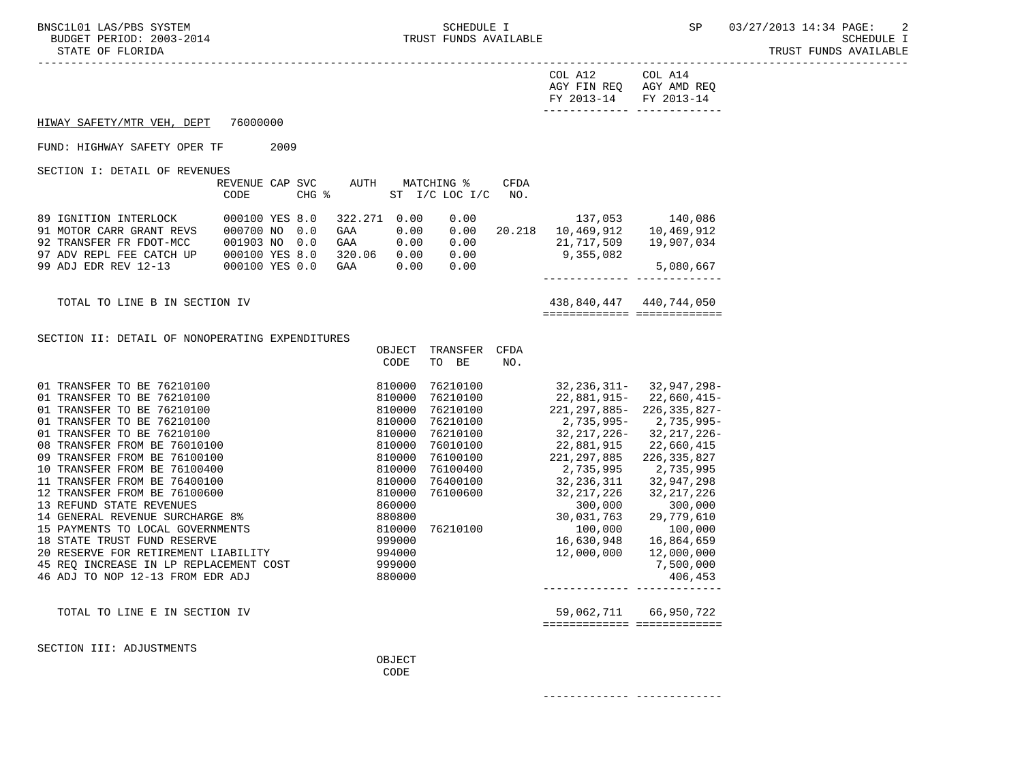STATE OF FLORIDA AND INTERNATIONAL STATE OF FUNDS AVAILABLE

-----------------------------------------------------------------------------------------------------------------------------------

| FY 2013-14 FY 2013-14   |         |
|-------------------------|---------|
| AGY FIN REO AGY AMD REO |         |
| COL A12                 | COL A14 |

HIWAY SAFETY/MTR VEH, DEPT 76000000

FUND: HIGHWAY SAFETY OPER TF 2009

SECTION I: DETAIL OF REVENUES

|                          | REVENUE CAP SVC<br>CODE | CHG % | AUTH    | MATCHING % | ST I/C LOC I/C | CFDA<br>NO. |            |            |
|--------------------------|-------------------------|-------|---------|------------|----------------|-------------|------------|------------|
|                          |                         |       |         |            |                |             |            |            |
| 89 IGNITION INTERLOCK    | 000100 YES 8.0          |       | 322.271 | 0.00       | 0.00           |             | 137,053    | 140,086    |
| 91 MOTOR CARR GRANT REVS | 000700 NO               | 0.0   | GAA     | 0.00       | 0.00           | 20.218      | 10,469,912 | 10,469,912 |
| 92 TRANSFER FR FDOT-MCC  | 001903 NO               | 0.0   | GAA     | 0.00       | 0.00           |             | 21,717,509 | 19,907,034 |
| 97 ADV REPL FEE CATCH UP | 000100 YES 8.0          |       | 320.06  | 0.00       | 0.00           |             | 9,355,082  |            |
| 99 ADJ EDR REV 12-13     | 000100 YES 0.0          |       | GAA     | 0.00       | 0.00           |             |            | 5,080,667  |
|                          |                         |       |         |            |                |             |            |            |

TOTAL TO LINE B IN SECTION IV 438,840,447 440,744,050 ============= =============

SECTION II: DETAIL OF NONOPERATING EXPENDITURES

|                                        | OBJECT<br>CODE | TRANSFER<br>BE<br><b>TO</b> | <b>CFDA</b><br>NO. |                  |                   |
|----------------------------------------|----------------|-----------------------------|--------------------|------------------|-------------------|
| 01 TRANSFER TO BE 76210100             | 810000         | 76210100                    |                    | $32, 236, 311 -$ | 32,947,298-       |
| 01 TRANSFER TO BE 76210100             | 810000         | 76210100                    |                    | 22,881,915-      | $22,660,415-$     |
| 01 TRANSFER TO BE 76210100             | 810000         | 76210100                    |                    | $221.297.885 -$  | $226, 335, 827 -$ |
| 01 TRANSFER TO BE 76210100             | 810000         | 76210100                    |                    | 2,735,995-       | 2,735,995-        |
| <b>TRANSFER TO BE 76210100</b><br>01   | 810000         | 76210100                    |                    | 32,217,226-      | 32,217,226-       |
| 08 TRANSFER FROM BE 76010100           | 810000         | 76010100                    |                    | 22,881,915       | 22,660,415        |
| 09 TRANSFER FROM BE 76100100           | 810000         | 76100100                    |                    | 221,297,885      | 226, 335, 827     |
| 10 TRANSFER FROM BE 76100400           | 810000         | 76100400                    |                    | 2,735,995        | 2,735,995         |
| 11 TRANSFER FROM BE 76400100           | 810000         | 76400100                    |                    | 32,236,311       | 32,947,298        |
| 12 TRANSFER FROM BE 76100600           | 810000         | 76100600                    |                    | 32,217,226       | 32, 217, 226      |
| 13 REFUND STATE REVENUES               | 860000         |                             |                    | 300,000          | 300,000           |
| 14 GENERAL REVENUE SURCHARGE 8%        | 880800         |                             |                    | 30,031,763       | 29,779,610        |
| 15 PAYMENTS TO LOCAL GOVERNMENTS       | 810000         | 76210100                    |                    | 100,000          | 100,000           |
| 18 STATE TRUST FUND RESERVE            | 999000         |                             |                    | 16,630,948       | 16,864,659        |
| 20 RESERVE FOR RETIREMENT LIABILITY    | 994000         |                             |                    | 12,000,000       | 12,000,000        |
| 45 REO INCREASE IN LP REPLACEMENT COST | 999000         |                             |                    |                  | 7,500,000         |
| 46 ADJ TO NOP 12-13 FROM EDR ADJ       | 880000         |                             |                    |                  | 406,453           |
|                                        |                |                             |                    |                  |                   |
| TOTAL TO LINE E IN SECTION IV          |                |                             |                    | 59,062,711       | 66,950,722        |

============= =============

SECTION III: ADJUSTMENTS

OBJECT **CODE** 

------------- -------------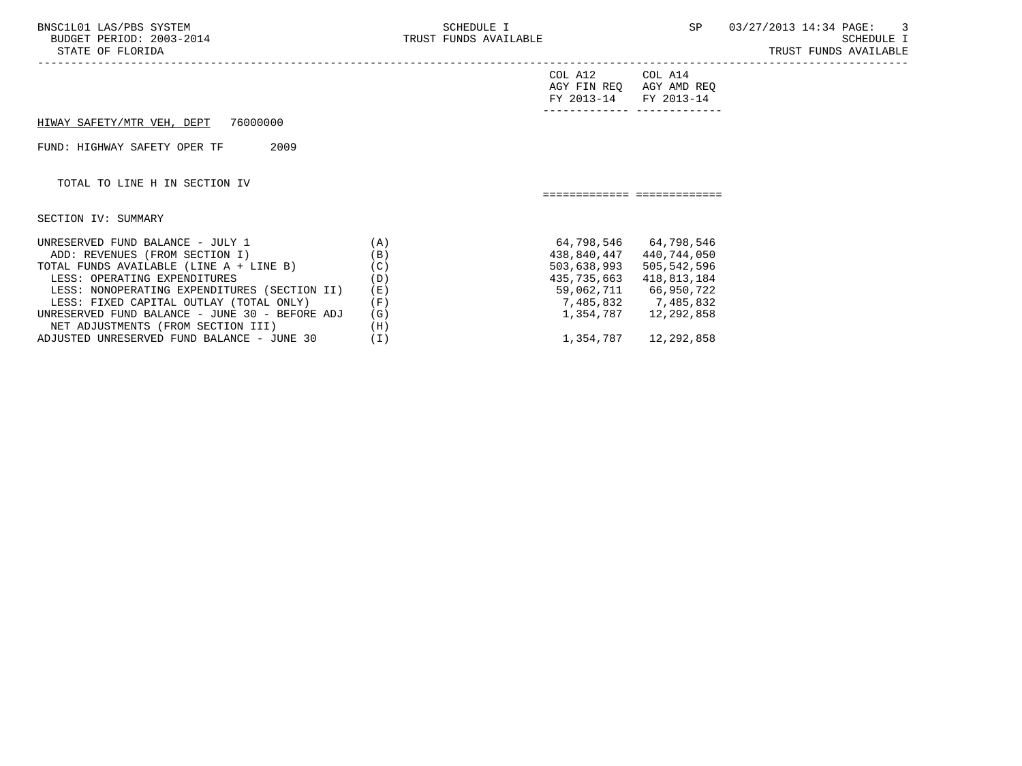| SCHEDULE I                                                                               |     |                                           | SP 03/27/2013 14:34 PAGE: 3<br>SCHEDULE I<br>TRUST FUNDS AVAILABLE                                                                                                                                               |
|------------------------------------------------------------------------------------------|-----|-------------------------------------------|------------------------------------------------------------------------------------------------------------------------------------------------------------------------------------------------------------------|
|                                                                                          |     | COL A14                                   |                                                                                                                                                                                                                  |
|                                                                                          |     |                                           |                                                                                                                                                                                                                  |
|                                                                                          |     |                                           |                                                                                                                                                                                                                  |
|                                                                                          |     |                                           |                                                                                                                                                                                                                  |
|                                                                                          |     |                                           |                                                                                                                                                                                                                  |
| (A)<br>(B)<br>TOTAL FUNDS AVAILABLE (LINE A + LINE B)<br>(C)<br>(D)<br>(E)<br>(F)<br>(G) |     | 440,744,050<br>505,542,596<br>418,813,184 |                                                                                                                                                                                                                  |
|                                                                                          | (H) | TRUST FUNDS AVAILABLE                     | COL A12<br>AGY FIN REQ AGY AMD REQ<br>FY 2013-14 FY 2013-14<br>============================<br>438,840,447<br>503,638,993<br>435,735,663<br>59,062,711 66,950,722<br>7,485,832 7,485,832<br>1,354,787 12,292,858 |

ADJUSTED UNRESERVED FUND BALANCE - JUNE 30 (I) 1,354,787 12,292,858